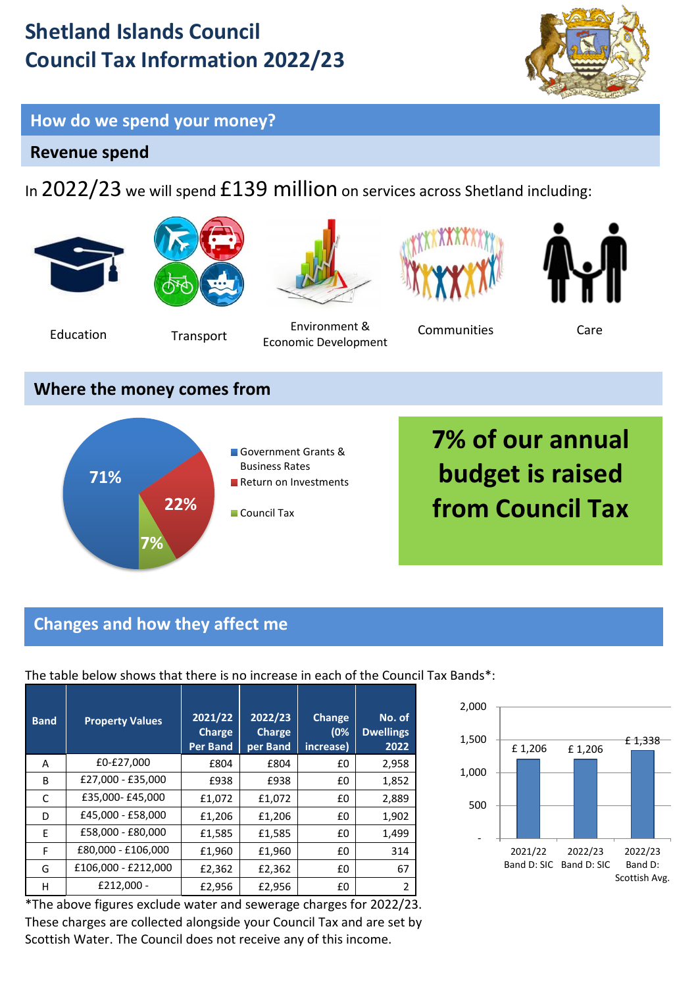## **Shetland Islands Council Council Tax Information 2022/23**



#### **How do we spend your money?**

#### **Revenue spend**

In 2022/23 we will spend £139 million on services across Shetland including:



**Council Tax** 

# **from Council Tax**

#### **Changes and how they affect me**

**7%**

**22%**

**Band Property Values 2021/22 Charge Per Band 2022/23 Charge per Band Change (0% increase) No. of Dwellings 2022** A 60-£27,000  $\left| 604 \right| 604$  £804 £0 2,958 B £27,000 - £35,000  $\left| \right|$  £938  $\left| \right|$  £938  $\left| \right|$  £0 1,852  $\overline{C}$   $\overline{E}$  £35,000- £45,000  $\overline{E}$   $\overline{E}$   $\overline{E}$   $\overline{E}$   $\overline{E}$   $\overline{E}$   $\overline{E}$   $\overline{E}$   $\overline{E}$   $\overline{E}$   $\overline{E}$   $\overline{E}$   $\overline{E}$   $\overline{E}$   $\overline{E}$   $\overline{E}$   $\overline{E}$   $\overline{E}$   $\overline{E}$   $\overline{E}$   $\overline{E$  $D \left[ 645,000 - 658,000 \right] 61,206 \left[ 61,206 \right] 60 \left[ 1,902 \right]$ E | £58,000 - £80,000 | £1,585 | £1,585 | £0 | 1,499  $F \mid £80,000 - £106,000 \mid £1,960 \mid £1,960 \mid £0 \mid 314$  $G \left[ f106,000 - f212,000 \right] f2,362 \left[ f2,362 \right] f0 \left[ 67 \right]$  $H$  E212,000 -  $E2,956$  E2,956  $E0$  2

The table below shows that there is no increase in each of the Council Tax Bands\*:

\*The above figures exclude water and sewerage charges for 2022/23. These charges are collected alongside your Council Tax and are set by Scottish Water. The Council does not receive any of this income.

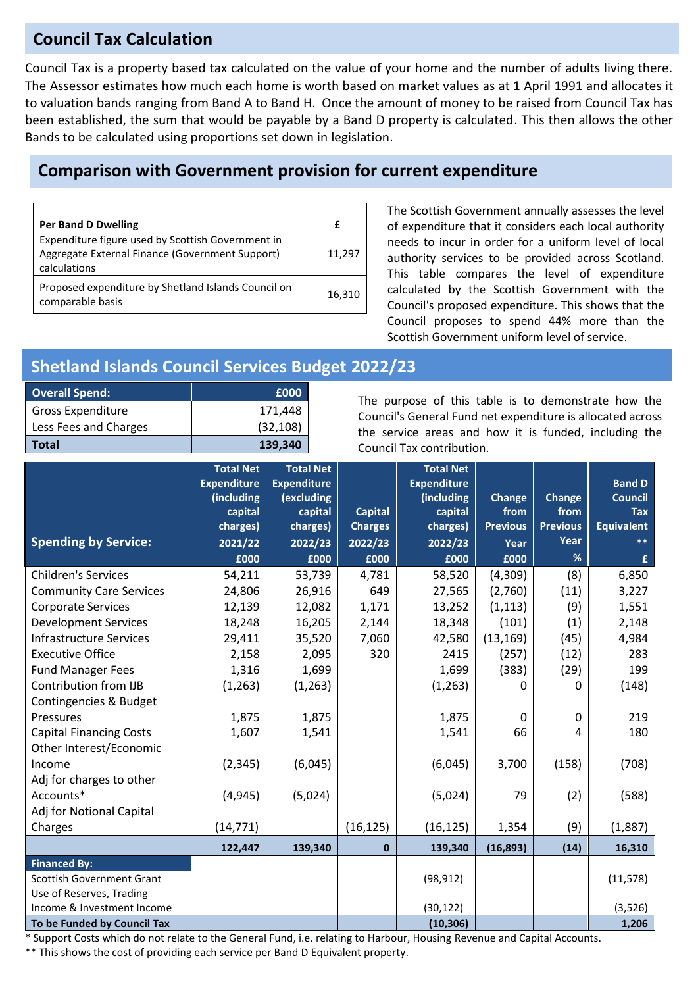#### **Council Tax Calculation**

Council Tax is a property based tax calculated on the value of your home and the number of adults living there. The Assessor estimates how much each home is worth based on market values as at 1 April 1991 and allocates it to valuation bands ranging from Band A to Band H. Once the amount of money to be raised from Council Tax has been established, the sum that would be payable by a Band D property is calculated. This then allows the other Bands to be calculated using proportions set down in legislation.

#### **Comparison with Government provision for current expenditure**

| <b>Per Band D Dwelling</b>                                                                                           | f      |
|----------------------------------------------------------------------------------------------------------------------|--------|
| Expenditure figure used by Scottish Government in<br>Aggregate External Finance (Government Support)<br>calculations | 11,297 |
| Proposed expenditure by Shetland Islands Council on<br>comparable basis                                              | 16,310 |

The Scottish Government annually assesses the level of expenditure that it considers each local authority needs to incur in order for a uniform level of local authority services to be provided across Scotland. This table compares the level of expenditure calculated by the Scottish Government with the Council's proposed expenditure. This shows that the Council proposes to spend 44% more than the Scottish Government uniform level of service.

#### **Shetland Islands Council Services Budget 2022/23**

| <b>Overall Spend:</b>    | £000      |
|--------------------------|-----------|
| <b>Gross Expenditure</b> | 171,448   |
| Less Fees and Charges    | (32, 108) |
| <b>Total</b>             | 139,340   |

The purpose of this table is to demonstrate how the Council's General Fund net expenditure is allocated across the service areas and how it is funded, including the Council Tax contribution.

|                                | <b>Total Net</b><br><b>Expenditure</b> | <b>Total Net</b><br><b>Expenditure</b> |                | <b>Total Net</b><br><b>Expenditure</b> |                 |                 | <b>Band D</b>     |
|--------------------------------|----------------------------------------|----------------------------------------|----------------|----------------------------------------|-----------------|-----------------|-------------------|
|                                | (including                             | (excluding                             |                | (including                             | <b>Change</b>   | Change          | <b>Council</b>    |
|                                | capital                                | capital                                | <b>Capital</b> | capital                                | from            | from            | <b>Tax</b>        |
|                                | charges)                               | charges)                               | <b>Charges</b> | charges)                               | <b>Previous</b> | <b>Previous</b> | <b>Equivalent</b> |
| <b>Spending by Service:</b>    | 2021/22                                | 2022/23                                | 2022/23        | 2022/23                                | Year            | Year            | $***$             |
|                                | £000                                   | £000                                   | £000           | £000                                   | £000            | %               | £                 |
| <b>Children's Services</b>     | 54,211                                 | 53,739                                 | 4,781          | 58,520                                 | (4,309)         | (8)             | 6,850             |
| <b>Community Care Services</b> | 24,806                                 | 26,916                                 | 649            | 27,565                                 | (2,760)         | (11)            | 3,227             |
| <b>Corporate Services</b>      | 12,139                                 | 12,082                                 | 1,171          | 13,252                                 | (1, 113)        | (9)             | 1,551             |
| <b>Development Services</b>    | 18,248                                 | 16,205                                 | 2,144          | 18,348                                 | (101)           | (1)             | 2,148             |
| <b>Infrastructure Services</b> | 29,411                                 | 35,520                                 | 7,060          | 42,580                                 | (13, 169)       | (45)            | 4,984             |
| <b>Executive Office</b>        | 2,158                                  | 2,095                                  | 320            | 2415                                   | (257)           | (12)            | 283               |
| <b>Fund Manager Fees</b>       | 1,316                                  | 1,699                                  |                | 1,699                                  | (383)           | (29)            | 199               |
| Contribution from IJB          | (1, 263)                               | (1, 263)                               |                | (1,263)                                | 0               | 0               | (148)             |
| Contingencies & Budget         |                                        |                                        |                |                                        |                 |                 |                   |
| Pressures                      | 1,875                                  | 1,875                                  |                | 1,875                                  | $\Omega$        | 0               | 219               |
| <b>Capital Financing Costs</b> | 1,607                                  | 1,541                                  |                | 1,541                                  | 66              | 4               | 180               |
| Other Interest/Economic        |                                        |                                        |                |                                        |                 |                 |                   |
| Income                         | (2, 345)                               | (6,045)                                |                | (6,045)                                | 3,700           | (158)           | (708)             |
| Adj for charges to other       |                                        |                                        |                |                                        |                 |                 |                   |
| Accounts*                      | (4, 945)                               | (5,024)                                |                | (5,024)                                | 79              | (2)             | (588)             |
| Adj for Notional Capital       |                                        |                                        |                |                                        |                 |                 |                   |
| Charges                        | (14, 771)                              |                                        | (16, 125)      | (16, 125)                              | 1,354           | (9)             | (1,887)           |
|                                | 122,447                                | 139,340                                | $\mathbf 0$    | 139,340                                | (16, 893)       | (14)            | 16,310            |
| <b>Financed By:</b>            |                                        |                                        |                |                                        |                 |                 |                   |
| Scottish Government Grant      |                                        |                                        |                | (98, 912)                              |                 |                 | (11, 578)         |
| Use of Reserves, Trading       |                                        |                                        |                |                                        |                 |                 |                   |
| Income & Investment Income     |                                        |                                        |                | (30, 122)                              |                 |                 | (3,526)           |
| To be Funded by Council Tax    |                                        |                                        |                | (10, 306)                              |                 |                 | 1,206             |

\* Support Costs which do not relate to the General Fund, i.e. relating to Harbour, Housing Revenue and Capital Accounts.

\*\* This shows the cost of providing each service per Band D Equivalent property.